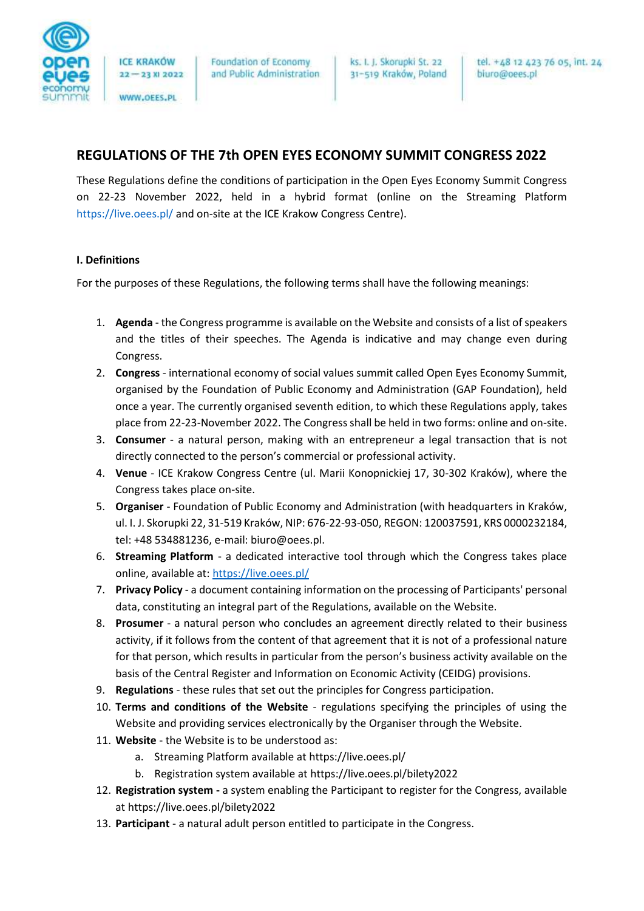

WWW.OEES.PL

Foundation of Economy and Public Administration ks. I. J. Skorupki St. 22 31-519 Kraków, Poland

# **REGULATIONS OF THE 7th OPEN EYES ECONOMY SUMMIT CONGRESS 2022**

These Regulations define the conditions of participation in the Open Eyes Economy Summit Congress on 22-23 November 2022, held in a hybrid format (online on the Streaming Platform https://live.oees.pl/ and on-site at the ICE Krakow Congress Centre).

# **I. Definitions**

For the purposes of these Regulations, the following terms shall have the following meanings:

- 1. **Agenda** the Congress programme is available on the Website and consists of a list of speakers and the titles of their speeches. The Agenda is indicative and may change even during Congress.
- 2. **Congress** international economy of social values summit called Open Eyes Economy Summit, organised by the Foundation of Public Economy and Administration (GAP Foundation), held once a year. The currently organised seventh edition, to which these Regulations apply, takes place from 22-23-November 2022. The Congress shall be held in two forms: online and on-site.
- 3. **Consumer** a natural person, making with an entrepreneur a legal transaction that is not directly connected to the person's commercial or professional activity.
- 4. **Venue** ICE Krakow Congress Centre (ul. Marii Konopnickiej 17, 30-302 Kraków), where the Congress takes place on-site.
- 5. **Organiser** Foundation of Public Economy and Administration (with headquarters in Kraków, ul. I. J. Skorupki 22, 31-519 Kraków, NIP: 676-22-93-050, REGON: 120037591, KRS 0000232184, tel: +48 534881236, e-mail: biuro@oees.pl.
- 6. **Streaming Platform** a dedicated interactive tool through which the Congress takes place online, available at:<https://live.oees.pl/>
- 7. **Privacy Policy** a document containing information on the processing of Participants' personal data, constituting an integral part of the Regulations, available on the Website.
- 8. **Prosumer** a natural person who concludes an agreement directly related to their business activity, if it follows from the content of that agreement that it is not of a professional nature for that person, which results in particular from the person's business activity available on the basis of the Central Register and Information on Economic Activity (CEIDG) provisions.
- 9. **Regulations** these rules that set out the principles for Congress participation.
- 10. **Terms and conditions of the Website** regulations specifying the principles of using the Website and providing services electronically by the Organiser through the Website.
- 11. **Website** the Website is to be understood as:
	- a. Streaming Platform available at https://live.oees.pl/
	- b. Registration system available at https://live.oees.pl/bilety2022
- 12. **Registration system -** a system enabling the Participant to register for the Congress, available at https://live.oees.pl/bilety2022
- 13. **Participant** a natural adult person entitled to participate in the Congress.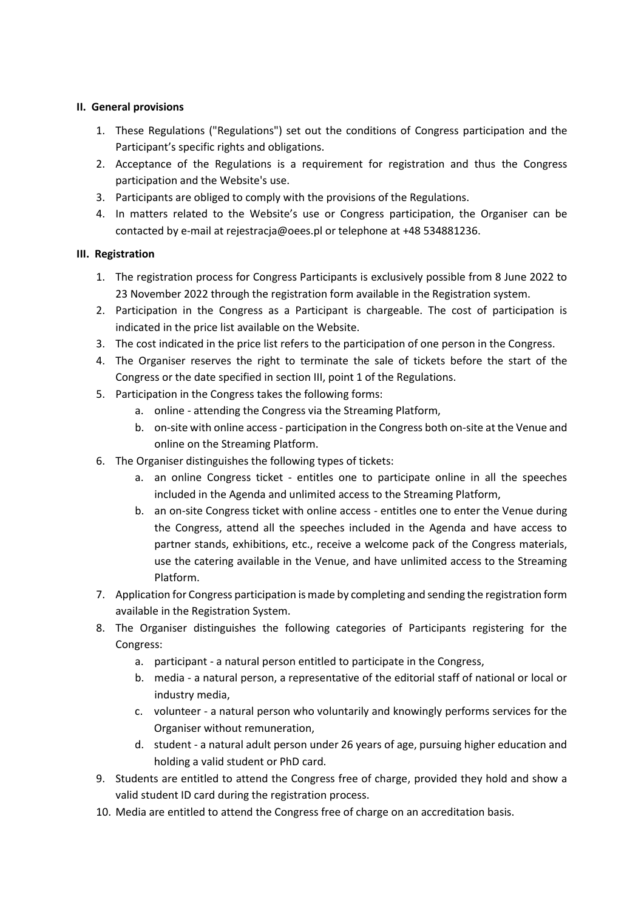### **II. General provisions**

- 1. These Regulations ("Regulations") set out the conditions of Congress participation and the Participant's specific rights and obligations.
- 2. Acceptance of the Regulations is a requirement for registration and thus the Congress participation and the Website's use.
- 3. Participants are obliged to comply with the provisions of the Regulations.
- 4. In matters related to the Website's use or Congress participation, the Organiser can be contacted by e-mail at rejestracja@oees.pl or telephone at +48 534881236.

# **III. Registration**

- 1. The registration process for Congress Participants is exclusively possible from 8 June 2022 to 23 November 2022 through the registration form available in the Registration system.
- 2. Participation in the Congress as a Participant is chargeable. The cost of participation is indicated in the price list available on the Website.
- 3. The cost indicated in the price list refers to the participation of one person in the Congress.
- 4. The Organiser reserves the right to terminate the sale of tickets before the start of the Congress or the date specified in section III, point 1 of the Regulations.
- 5. Participation in the Congress takes the following forms:
	- a. online attending the Congress via the Streaming Platform,
	- b. on-site with online access participation in the Congress both on-site at the Venue and online on the Streaming Platform.
- 6. The Organiser distinguishes the following types of tickets:
	- a. an online Congress ticket entitles one to participate online in all the speeches included in the Agenda and unlimited access to the Streaming Platform,
	- b. an on-site Congress ticket with online access entitles one to enter the Venue during the Congress, attend all the speeches included in the Agenda and have access to partner stands, exhibitions, etc., receive a welcome pack of the Congress materials, use the catering available in the Venue, and have unlimited access to the Streaming Platform.
- 7. Application for Congress participation is made by completing and sending the registration form available in the Registration System.
- 8. The Organiser distinguishes the following categories of Participants registering for the Congress:
	- a. participant a natural person entitled to participate in the Congress,
	- b. media a natural person, a representative of the editorial staff of national or local or industry media,
	- c. volunteer a natural person who voluntarily and knowingly performs services for the Organiser without remuneration,
	- d. student a natural adult person under 26 years of age, pursuing higher education and holding a valid student or PhD card.
- 9. Students are entitled to attend the Congress free of charge, provided they hold and show a valid student ID card during the registration process.
- 10. Media are entitled to attend the Congress free of charge on an accreditation basis.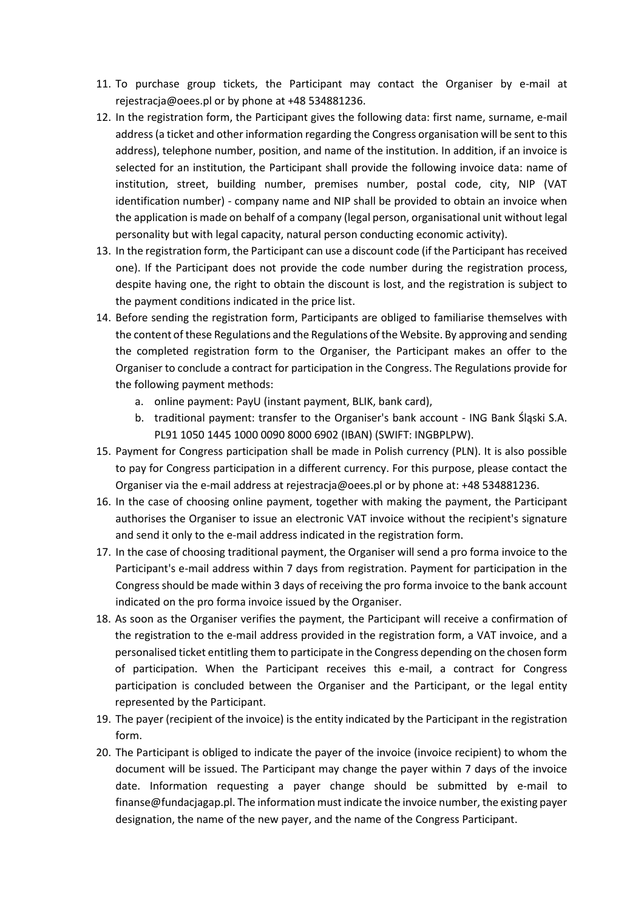- 11. To purchase group tickets, the Participant may contact the Organiser by e-mail at rejestracja@oees.pl or by phone at +48 534881236.
- 12. In the registration form, the Participant gives the following data: first name, surname, e-mail address (a ticket and other information regarding the Congress organisation will be sent to this address), telephone number, position, and name of the institution. In addition, if an invoice is selected for an institution, the Participant shall provide the following invoice data: name of institution, street, building number, premises number, postal code, city, NIP (VAT identification number) - company name and NIP shall be provided to obtain an invoice when the application is made on behalf of a company (legal person, organisational unit without legal personality but with legal capacity, natural person conducting economic activity).
- 13. In the registration form, the Participant can use a discount code (if the Participant has received one). If the Participant does not provide the code number during the registration process, despite having one, the right to obtain the discount is lost, and the registration is subject to the payment conditions indicated in the price list.
- 14. Before sending the registration form, Participants are obliged to familiarise themselves with the content of these Regulations and the Regulations of the Website. By approving and sending the completed registration form to the Organiser, the Participant makes an offer to the Organiser to conclude a contract for participation in the Congress. The Regulations provide for the following payment methods:
	- a. online payment: PayU (instant payment, BLIK, bank card),
	- b. traditional payment: transfer to the Organiser's bank account ING Bank Śląski S.A. PL91 1050 1445 1000 0090 8000 6902 (IBAN) (SWIFT: INGBPLPW).
- 15. Payment for Congress participation shall be made in Polish currency (PLN). It is also possible to pay for Congress participation in a different currency. For this purpose, please contact the Organiser via the e-mail address at rejestracja@oees.pl or by phone at: +48 534881236.
- 16. In the case of choosing online payment, together with making the payment, the Participant authorises the Organiser to issue an electronic VAT invoice without the recipient's signature and send it only to the e-mail address indicated in the registration form.
- 17. In the case of choosing traditional payment, the Organiser will send a pro forma invoice to the Participant's e-mail address within 7 days from registration. Payment for participation in the Congress should be made within 3 days of receiving the pro forma invoice to the bank account indicated on the pro forma invoice issued by the Organiser.
- 18. As soon as the Organiser verifies the payment, the Participant will receive a confirmation of the registration to the e-mail address provided in the registration form, a VAT invoice, and a personalised ticket entitling them to participate in the Congress depending on the chosen form of participation. When the Participant receives this e-mail, a contract for Congress participation is concluded between the Organiser and the Participant, or the legal entity represented by the Participant.
- 19. The payer (recipient of the invoice) is the entity indicated by the Participant in the registration form.
- 20. The Participant is obliged to indicate the payer of the invoice (invoice recipient) to whom the document will be issued. The Participant may change the payer within 7 days of the invoice date. Information requesting a payer change should be submitted by e-mail to finanse@fundacjagap.pl. The information must indicate the invoice number, the existing payer designation, the name of the new payer, and the name of the Congress Participant.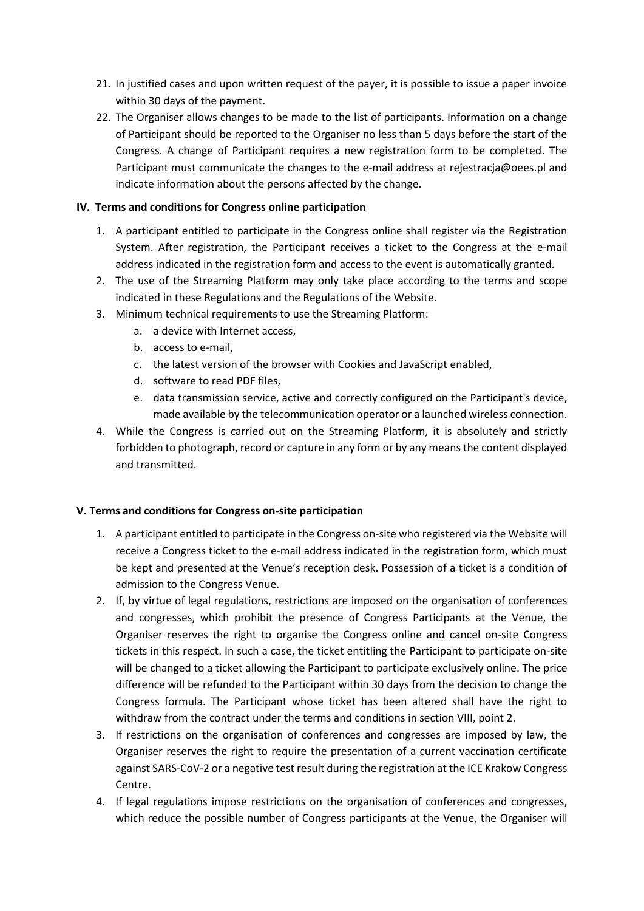- 21. In justified cases and upon written request of the payer, it is possible to issue a paper invoice within 30 days of the payment.
- 22. The Organiser allows changes to be made to the list of participants. Information on a change of Participant should be reported to the Organiser no less than 5 days before the start of the Congress. A change of Participant requires a new registration form to be completed. The Participant must communicate the changes to the e-mail address at rejestracja@oees.pl and indicate information about the persons affected by the change.

# **IV. Terms and conditions for Congress online participation**

- 1. A participant entitled to participate in the Congress online shall register via the Registration System. After registration, the Participant receives a ticket to the Congress at the e-mail address indicated in the registration form and access to the event is automatically granted.
- 2. The use of the Streaming Platform may only take place according to the terms and scope indicated in these Regulations and the Regulations of the Website.
- 3. Minimum technical requirements to use the Streaming Platform:
	- a. a device with Internet access,
	- b. access to e-mail,
	- c. the latest version of the browser with Cookies and JavaScript enabled,
	- d. software to read PDF files,
	- e. data transmission service, active and correctly configured on the Participant's device, made available by the telecommunication operator or a launched wireless connection.
- 4. While the Congress is carried out on the Streaming Platform, it is absolutely and strictly forbidden to photograph, record or capture in any form or by any means the content displayed and transmitted.

# **V. Terms and conditions for Congress on-site participation**

- 1. A participant entitled to participate in the Congress on-site who registered via the Website will receive a Congress ticket to the e-mail address indicated in the registration form, which must be kept and presented at the Venue's reception desk. Possession of a ticket is a condition of admission to the Congress Venue.
- 2. If, by virtue of legal regulations, restrictions are imposed on the organisation of conferences and congresses, which prohibit the presence of Congress Participants at the Venue, the Organiser reserves the right to organise the Congress online and cancel on-site Congress tickets in this respect. In such a case, the ticket entitling the Participant to participate on-site will be changed to a ticket allowing the Participant to participate exclusively online. The price difference will be refunded to the Participant within 30 days from the decision to change the Congress formula. The Participant whose ticket has been altered shall have the right to withdraw from the contract under the terms and conditions in section VIII, point 2.
- 3. If restrictions on the organisation of conferences and congresses are imposed by law, the Organiser reserves the right to require the presentation of a current vaccination certificate against SARS-CoV-2 or a negative test result during the registration at the ICE Krakow Congress Centre.
- 4. If legal regulations impose restrictions on the organisation of conferences and congresses, which reduce the possible number of Congress participants at the Venue, the Organiser will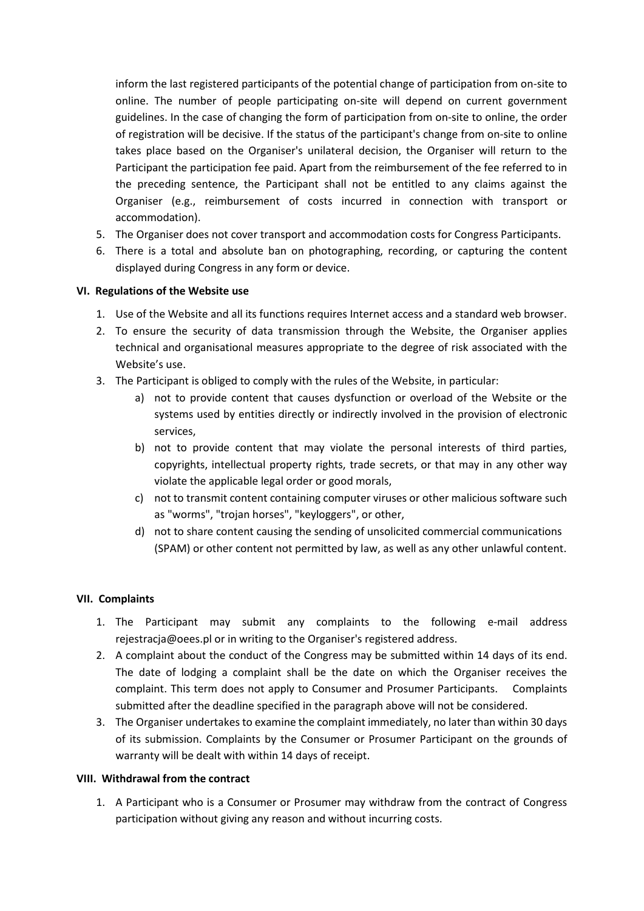inform the last registered participants of the potential change of participation from on-site to online. The number of people participating on-site will depend on current government guidelines. In the case of changing the form of participation from on-site to online, the order of registration will be decisive. If the status of the participant's change from on-site to online takes place based on the Organiser's unilateral decision, the Organiser will return to the Participant the participation fee paid. Apart from the reimbursement of the fee referred to in the preceding sentence, the Participant shall not be entitled to any claims against the Organiser (e.g., reimbursement of costs incurred in connection with transport or accommodation).

- 5. The Organiser does not cover transport and accommodation costs for Congress Participants.
- 6. There is a total and absolute ban on photographing, recording, or capturing the content displayed during Congress in any form or device.

#### **VI. Regulations of the Website use**

- 1. Use of the Website and all its functions requires Internet access and a standard web browser.
- 2. To ensure the security of data transmission through the Website, the Organiser applies technical and organisational measures appropriate to the degree of risk associated with the Website's use.
- 3. The Participant is obliged to comply with the rules of the Website, in particular:
	- a) not to provide content that causes dysfunction or overload of the Website or the systems used by entities directly or indirectly involved in the provision of electronic services,
	- b) not to provide content that may violate the personal interests of third parties, copyrights, intellectual property rights, trade secrets, or that may in any other way violate the applicable legal order or good morals,
	- c) not to transmit content containing computer viruses or other malicious software such as "worms", "trojan horses", "keyloggers", or other,
	- d) not to share content causing the sending of unsolicited commercial communications (SPAM) or other content not permitted by law, as well as any other unlawful content.

#### **VII. Complaints**

- 1. The Participant may submit any complaints to the following e-mail address rejestracja@oees.pl or in writing to the Organiser's registered address.
- 2. A complaint about the conduct of the Congress may be submitted within 14 days of its end. The date of lodging a complaint shall be the date on which the Organiser receives the complaint. This term does not apply to Consumer and Prosumer Participants. Complaints submitted after the deadline specified in the paragraph above will not be considered.
- 3. The Organiser undertakes to examine the complaint immediately, no later than within 30 days of its submission. Complaints by the Consumer or Prosumer Participant on the grounds of warranty will be dealt with within 14 days of receipt.

#### **VIII. Withdrawal from the contract**

1. A Participant who is a Consumer or Prosumer may withdraw from the contract of Congress participation without giving any reason and without incurring costs.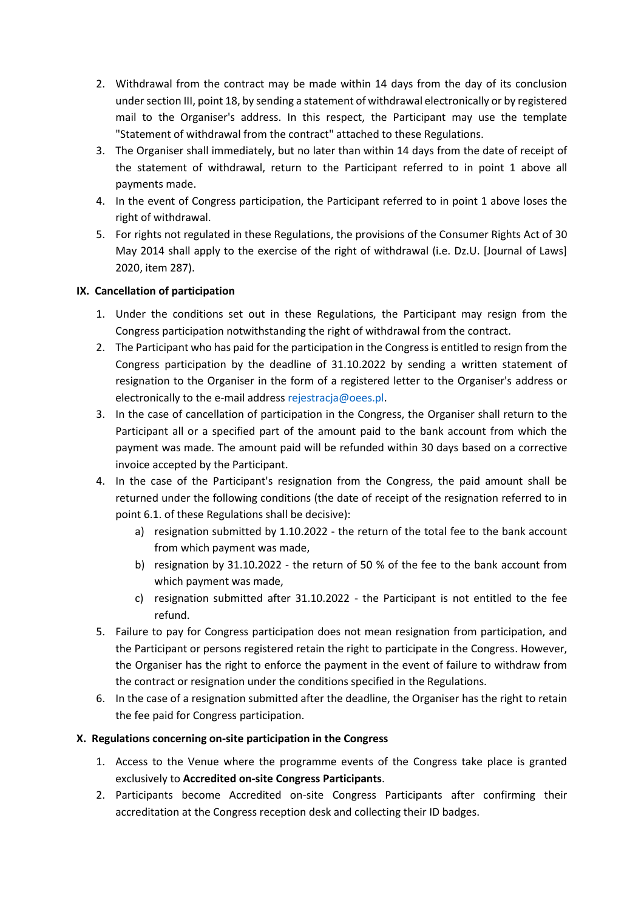- 2. Withdrawal from the contract may be made within 14 days from the day of its conclusion under section III, point 18, by sending a statement of withdrawal electronically or by registered mail to the Organiser's address. In this respect, the Participant may use the template "Statement of withdrawal from the contract" attached to these Regulations.
- 3. The Organiser shall immediately, but no later than within 14 days from the date of receipt of the statement of withdrawal, return to the Participant referred to in point 1 above all payments made.
- 4. In the event of Congress participation, the Participant referred to in point 1 above loses the right of withdrawal.
- 5. For rights not regulated in these Regulations, the provisions of the Consumer Rights Act of 30 May 2014 shall apply to the exercise of the right of withdrawal (i.e. Dz.U. [Journal of Laws] 2020, item 287).

# **IX. Cancellation of participation**

- 1. Under the conditions set out in these Regulations, the Participant may resign from the Congress participation notwithstanding the right of withdrawal from the contract.
- 2. The Participant who has paid for the participation in the Congress is entitled to resign from the Congress participation by the deadline of 31.10.2022 by sending a written statement of resignation to the Organiser in the form of a registered letter to the Organiser's address or electronically to the e-mail address rejestracia@oees.pl.
- 3. In the case of cancellation of participation in the Congress, the Organiser shall return to the Participant all or a specified part of the amount paid to the bank account from which the payment was made. The amount paid will be refunded within 30 days based on a corrective invoice accepted by the Participant.
- 4. In the case of the Participant's resignation from the Congress, the paid amount shall be returned under the following conditions (the date of receipt of the resignation referred to in point 6.1. of these Regulations shall be decisive):
	- a) resignation submitted by 1.10.2022 the return of the total fee to the bank account from which payment was made,
	- b) resignation by 31.10.2022 the return of 50 % of the fee to the bank account from which payment was made,
	- c) resignation submitted after 31.10.2022 the Participant is not entitled to the fee refund.
- 5. Failure to pay for Congress participation does not mean resignation from participation, and the Participant or persons registered retain the right to participate in the Congress. However, the Organiser has the right to enforce the payment in the event of failure to withdraw from the contract or resignation under the conditions specified in the Regulations.
- 6. In the case of a resignation submitted after the deadline, the Organiser has the right to retain the fee paid for Congress participation.

# **X. Regulations concerning on-site participation in the Congress**

- 1. Access to the Venue where the programme events of the Congress take place is granted exclusively to **Accredited on-site Congress Participants**.
- 2. Participants become Accredited on-site Congress Participants after confirming their accreditation at the Congress reception desk and collecting their ID badges.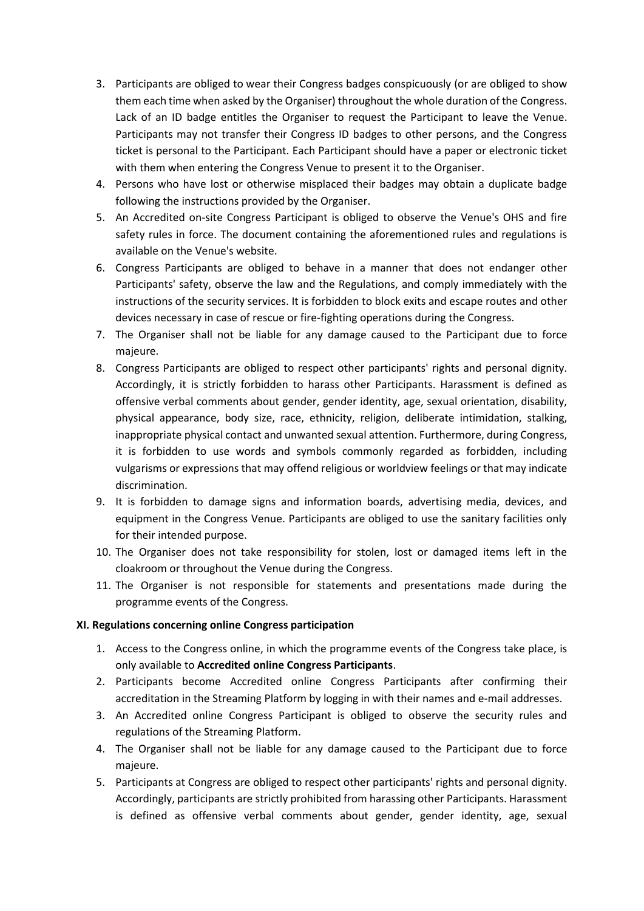- 3. Participants are obliged to wear their Congress badges conspicuously (or are obliged to show them each time when asked by the Organiser) throughout the whole duration of the Congress. Lack of an ID badge entitles the Organiser to request the Participant to leave the Venue. Participants may not transfer their Congress ID badges to other persons, and the Congress ticket is personal to the Participant. Each Participant should have a paper or electronic ticket with them when entering the Congress Venue to present it to the Organiser.
- 4. Persons who have lost or otherwise misplaced their badges may obtain a duplicate badge following the instructions provided by the Organiser.
- 5. An Accredited on-site Congress Participant is obliged to observe the Venue's OHS and fire safety rules in force. The document containing the aforementioned rules and regulations is available on the Venue's website.
- 6. Congress Participants are obliged to behave in a manner that does not endanger other Participants' safety, observe the law and the Regulations, and comply immediately with the instructions of the security services. It is forbidden to block exits and escape routes and other devices necessary in case of rescue or fire-fighting operations during the Congress.
- 7. The Organiser shall not be liable for any damage caused to the Participant due to force majeure.
- 8. Congress Participants are obliged to respect other participants' rights and personal dignity. Accordingly, it is strictly forbidden to harass other Participants. Harassment is defined as offensive verbal comments about gender, gender identity, age, sexual orientation, disability, physical appearance, body size, race, ethnicity, religion, deliberate intimidation, stalking, inappropriate physical contact and unwanted sexual attention. Furthermore, during Congress, it is forbidden to use words and symbols commonly regarded as forbidden, including vulgarisms or expressions that may offend religious or worldview feelings or that may indicate discrimination.
- 9. It is forbidden to damage signs and information boards, advertising media, devices, and equipment in the Congress Venue. Participants are obliged to use the sanitary facilities only for their intended purpose.
- 10. The Organiser does not take responsibility for stolen, lost or damaged items left in the cloakroom or throughout the Venue during the Congress.
- 11. The Organiser is not responsible for statements and presentations made during the programme events of the Congress.

#### **XI. Regulations concerning online Congress participation**

- 1. Access to the Congress online, in which the programme events of the Congress take place, is only available to **Accredited online Congress Participants**.
- 2. Participants become Accredited online Congress Participants after confirming their accreditation in the Streaming Platform by logging in with their names and e-mail addresses.
- 3. An Accredited online Congress Participant is obliged to observe the security rules and regulations of the Streaming Platform.
- 4. The Organiser shall not be liable for any damage caused to the Participant due to force majeure.
- 5. Participants at Congress are obliged to respect other participants' rights and personal dignity. Accordingly, participants are strictly prohibited from harassing other Participants. Harassment is defined as offensive verbal comments about gender, gender identity, age, sexual